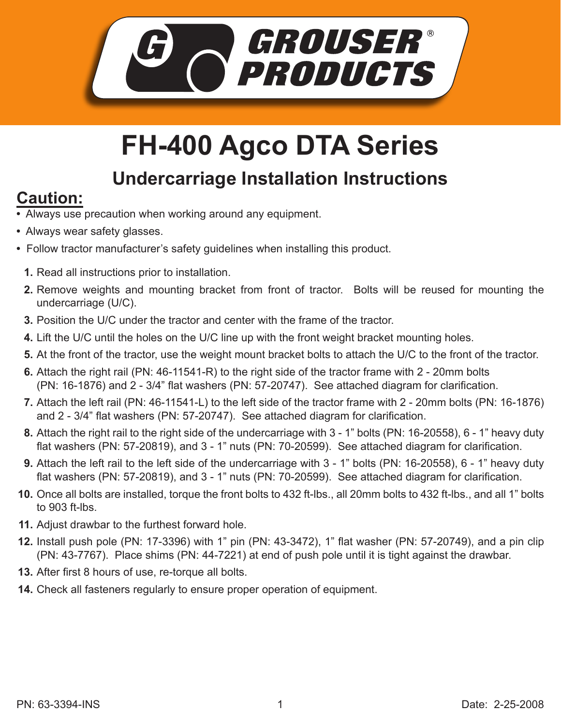

## **FH-400 Agco DTA Series**

## **Undercarriage Installation Instructions**

## **Caution:**

- Always use precaution when working around any equipment.
- Always wear safety glasses.
- Follow tractor manufacturer's safety guidelines when installing this product.
	- **1.** Read all instructions prior to installation.
	- **2.** Remove weights and mounting bracket from front of tractor. Bolts will be reused for mounting the undercarriage (U/C).
	- **3.** Position the U/C under the tractor and center with the frame of the tractor.
	- Lift the U/C until the holes on the U/C line up with the front weight bracket mounting holes. **4.**
	- At the front of the tractor, use the weight mount bracket bolts to attach the U/C to the front of the tractor. **5.**
	- **6.** Attach the right rail (PN: 46-11541-R) to the right side of the tractor frame with 2 20mm bolts (PN: 16-1876) and 2 - 3/4" flat washers (PN: 57-20747). See attached diagram for clarification.
	- Attach the left rail (PN: 46-11541-L) to the left side of the tractor frame with 2 20mm bolts (PN: 16-1876) **7.** and 2 - 3/4" flat washers (PN: 57-20747). See attached diagram for clarification.
	- Attach the right rail to the right side of the undercarriage with 3 1" bolts (PN: 16-20558), 6 1" heavy duty **8.** flat washers (PN: 57-20819), and 3 - 1" nuts (PN: 70-20599). See attached diagram for clarification.
	- Attach the left rail to the left side of the undercarriage with 3 1" bolts (PN: 16-20558), 6 1" heavy duty **9.** flat washers (PN: 57-20819), and 3 - 1" nuts (PN: 70-20599). See attached diagram for clarification.
- **10.** Once all bolts are installed, torque the front bolts to 432 ft-lbs., all 20mm bolts to 432 ft-lbs., and all 1" bolts to 903 ft-lbs.
- Adjust drawbar to the furthest forward hole. **11.**
- **12.** Install push pole (PN: 17-3396) with 1" pin (PN: 43-3472), 1" flat washer (PN: 57-20749), and a pin clip (PN: 43-7767). Place shims (PN: 44-7221) at end of push pole until it is tight against the drawbar.
- **13.** After first 8 hours of use, re-torque all bolts.
- Check all fasteners regularly to ensure proper operation of equipment. **14.**